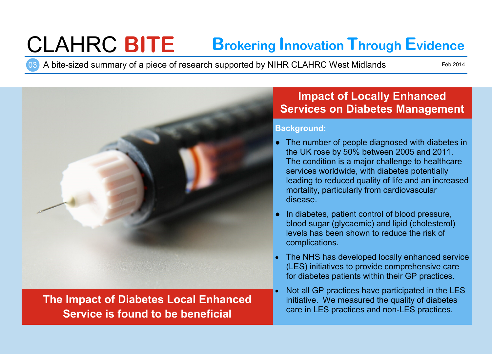# CLAHRC **BITE Brokering Innovation Through Evidence**

03 A bite-sized summary of a piece of research supported by NIHR CLAHRC West Midlands

Feb 2014



# **The Impact of Diabetes Local Enhanced Service is found to be beneficial**

# **Impact of Locally Enhanced Services on Diabetes Management**

#### **Background:**

- The number of people diagnosed with diabetes in the UK rose by 50% between 2005 and 2011. The condition is a major challenge to healthcare services worldwide, with diabetes potentially leading to reduced quality of life and an increased mortality, particularly from cardiovascular disease.
- In diabetes, patient control of blood pressure, blood sugar (glycaemic) and lipid (cholesterol) levels has been shown to reduce the risk of complications.
- The NHS has developed locally enhanced service (LES) initiatives to provide comprehensive care for diabetes patients within their GP practices.
- Not all GP practices have participated in the LES initiative. We measured the quality of diabetes care in LES practices and non-LES practices.